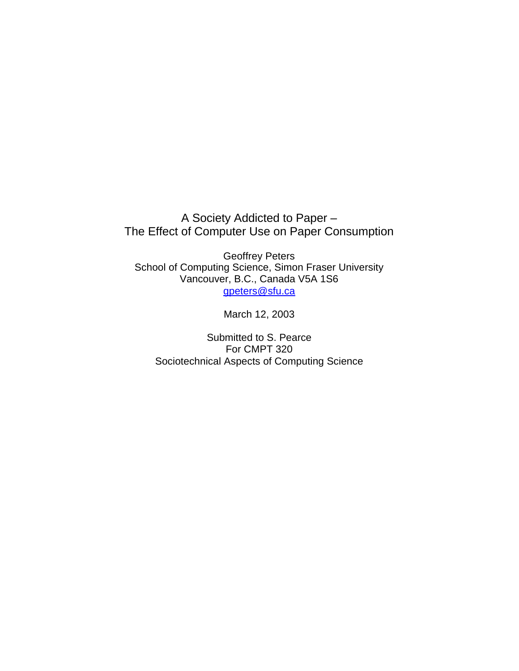A Society Addicted to Paper – The Effect of Computer Use on Paper Consumption

Geoffrey Peters School of Computing Science, Simon Fraser University Vancouver, B.C., Canada V5A 1S6 gpeters@sfu.ca

March 12, 2003

Submitted to S. Pearce For CMPT 320 Sociotechnical Aspects of Computing Science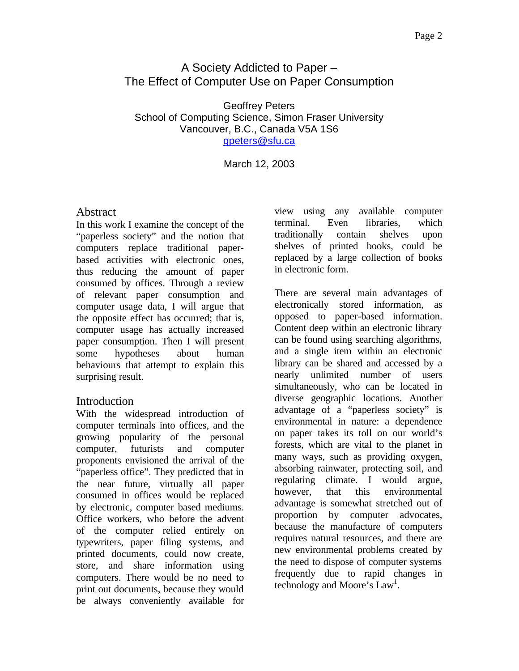# A Society Addicted to Paper – The Effect of Computer Use on Paper Consumption

Geoffrey Peters School of Computing Science, Simon Fraser University Vancouver, B.C., Canada V5A 1S6 gpeters@sfu.ca

March 12, 2003

## **Abstract**

In this work I examine the concept of the "paperless society" and the notion that computers replace traditional paperbased activities with electronic ones, thus reducing the amount of paper consumed by offices. Through a review of relevant paper consumption and computer usage data, I will argue that the opposite effect has occurred; that is, computer usage has actually increased paper consumption. Then I will present some hypotheses about human behaviours that attempt to explain this surprising result.

## Introduction

With the widespread introduction of computer terminals into offices, and the growing popularity of the personal computer, futurists and computer proponents envisioned the arrival of the "paperless office". They predicted that in the near future, virtually all paper consumed in offices would be replaced by electronic, computer based mediums. Office workers, who before the advent of the computer relied entirely on typewriters, paper filing systems, and printed documents, could now create, store, and share information using computers. There would be no need to print out documents, because they would be always conveniently available for

view using any available computer terminal. Even libraries, which traditionally contain shelves upon shelves of printed books, could be replaced by a large collection of books in electronic form.

There are several main advantages of electronically stored information, as opposed to paper-based information. Content deep within an electronic library can be found using searching algorithms, and a single item within an electronic library can be shared and accessed by a nearly unlimited number of users simultaneously, who can be located in diverse geographic locations. Another advantage of a "paperless society" is environmental in nature: a dependence on paper takes its toll on our world's forests, which are vital to the planet in many ways, such as providing oxygen, absorbing rainwater, protecting soil, and regulating climate. I would argue, however, that this environmental advantage is somewhat stretched out of proportion by computer advocates, because the manufacture of computers requires natural resources, and there are new environmental problems created by the need to dispose of computer systems frequently due to rapid changes in technology and Moore's Law<sup>1</sup>.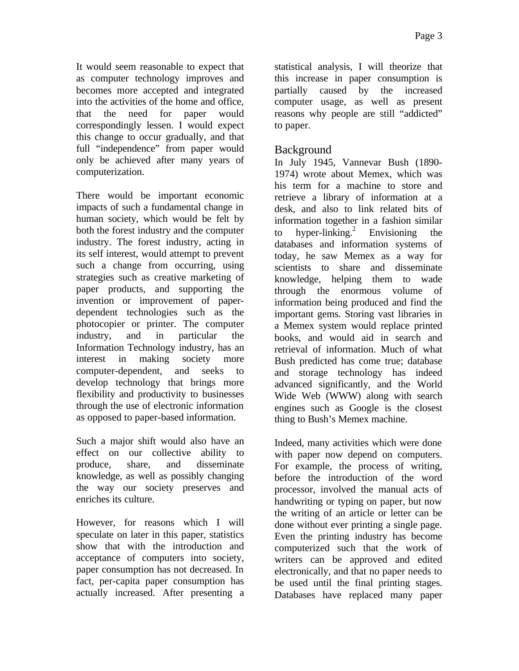It would seem reasonable to expect that as computer technology improves and becomes more accepted and integrated into the activities of the home and office, that the need for paper would correspondingly lessen. I would expect this change to occur gradually, and that full "independence" from paper would only be achieved after many years of computerization.

There would be important economic impacts of such a fundamental change in human society, which would be felt by both the forest industry and the computer industry. The forest industry, acting in its self interest, would attempt to prevent such a change from occurring, using strategies such as creative marketing of paper products, and supporting the invention or improvement of paperdependent technologies such as the photocopier or printer. The computer industry, and in particular the Information Technology industry, has an interest in making society more computer-dependent, and seeks to develop technology that brings more flexibility and productivity to businesses through the use of electronic information as opposed to paper-based information.

Such a major shift would also have an effect on our collective ability to produce, share, and disseminate knowledge, as well as possibly changing the way our society preserves and enriches its culture.

However, for reasons which I will speculate on later in this paper, statistics show that with the introduction and acceptance of computers into society, paper consumption has not decreased. In fact, per-capita paper consumption has actually increased. After presenting a statistical analysis, I will theorize that this increase in paper consumption is partially caused by the increased computer usage, as well as present reasons why people are still "addicted" to paper.

## Background

In July 1945, Vannevar Bush (1890- 1974) wrote about Memex, which was his term for a machine to store and retrieve a library of information at a desk, and also to link related bits of information together in a fashion similar to hyper-linking.<sup>2</sup> Envisioning the databases and information systems of today, he saw Memex as a way for scientists to share and disseminate knowledge, helping them to wade through the enormous volume of information being produced and find the important gems. Storing vast libraries in a Memex system would replace printed books, and would aid in search and retrieval of information. Much of what Bush predicted has come true; database and storage technology has indeed advanced significantly, and the World Wide Web (WWW) along with search engines such as Google is the closest thing to Bush's Memex machine.

Indeed, many activities which were done with paper now depend on computers. For example, the process of writing, before the introduction of the word processor, involved the manual acts of handwriting or typing on paper, but now the writing of an article or letter can be done without ever printing a single page. Even the printing industry has become computerized such that the work of writers can be approved and edited electronically, and that no paper needs to be used until the final printing stages. Databases have replaced many paper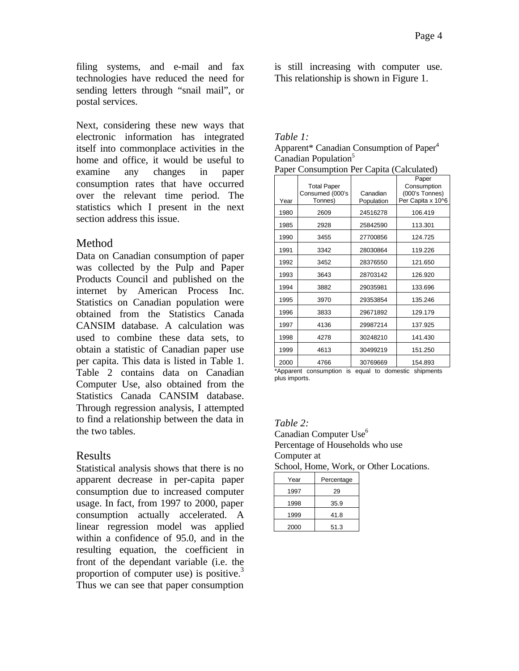filing systems, and e-mail and fax technologies have reduced the need for sending letters through "snail mail", or postal services.

Next, considering these new ways that electronic information has integrated itself into commonplace activities in the home and office, it would be useful to examine any changes in paper consumption rates that have occurred over the relevant time period. The statistics which I present in the next section address this issue.

## Method

Data on Canadian consumption of paper was collected by the Pulp and Paper Products Council and published on the internet by American Process Inc. Statistics on Canadian population were obtained from the Statistics Canada CANSIM database. A calculation was used to combine these data sets, to obtain a statistic of Canadian paper use per capita. This data is listed in Table 1. Table 2 contains data on Canadian Computer Use, also obtained from the Statistics Canada CANSIM database. Through regression analysis, I attempted to find a relationship between the data in the two tables.

## Results

Statistical analysis shows that there is no apparent decrease in per-capita paper consumption due to increased computer usage. In fact, from 1997 to 2000, paper consumption actually accelerated. A linear regression model was applied within a confidence of 95.0, and in the resulting equation, the coefficient in front of the dependant variable (i.e. the proportion of computer use) is positive.<sup>3</sup> Thus we can see that paper consumption

is still increasing with computer use. This relationship is shown in Figure 1.

#### *Table 1:* Apparent\* Canadian Consumption of Paper<sup>4</sup> Canadian Population<sup>5</sup> Paper Consumption Per Capita (Calculated)

| Year | <b>Total Paper</b><br>Consumed (000's<br>Tonnes) | Canadian<br>Population | Paper<br>Consumption<br>(000's Tonnes)<br>Per Capita x 10^6 |
|------|--------------------------------------------------|------------------------|-------------------------------------------------------------|
| 1980 | 2609                                             | 24516278               | 106.419                                                     |
| 1985 | 2928                                             | 25842590               | 113.301                                                     |
| 1990 | 3455                                             | 27700856               | 124.725                                                     |
| 1991 | 3342                                             | 28030864               | 119.226                                                     |
| 1992 | 3452                                             | 28376550               | 121.650                                                     |
| 1993 | 3643                                             | 28703142               | 126.920                                                     |
| 1994 | 3882                                             | 29035981               | 133.696                                                     |
| 1995 | 3970                                             | 29353854               | 135.246                                                     |
| 1996 | 3833                                             | 29671892               | 129.179                                                     |
| 1997 | 4136                                             | 29987214               | 137.925                                                     |
| 1998 | 4278                                             | 30248210               | 141.430                                                     |
| 1999 | 4613                                             | 30499219               | 151.250                                                     |
| 2000 | 4766                                             | 30769669               | 154.893                                                     |

\*Apparent consumption is equal to domestic shipments plus imports.

### *Table 2:*

Canadian Computer Use<sup>6</sup> Percentage of Households who use Computer at

School, Home, Work, or Other Locations.

| Year | Percentage |  |
|------|------------|--|
| 1997 | 29         |  |
| 1998 | 35.9       |  |
| 1999 | 41.8       |  |
| 2000 | 51.3       |  |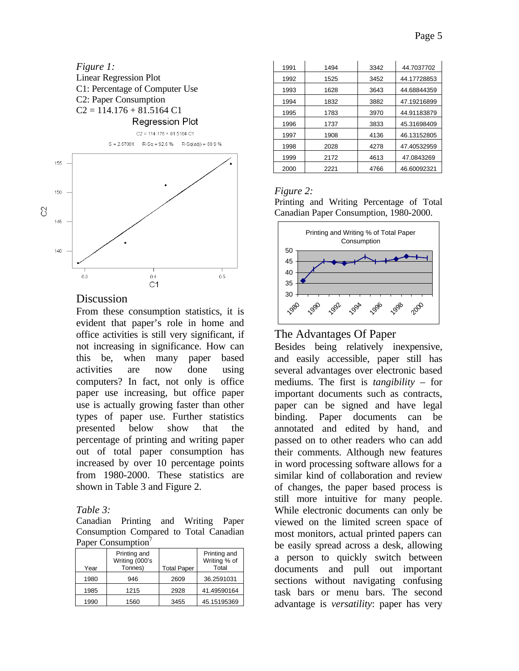

#### **Discussion**

From these consumption statistics, it is evident that paper's role in home and office activities is still very significant, if not increasing in significance. How can this be, when many paper based activities are now done using computers? In fact, not only is office paper use increasing, but office paper use is actually growing faster than other types of paper use. Further statistics presented below show that the percentage of printing and writing paper out of total paper consumption has increased by over 10 percentage points from 1980-2000. These statistics are shown in Table 3 and Figure 2.

#### *Table 3:*

Canadian Printing and Writing Paper Consumption Compared to Total Canadian Paper Consumption<sup>7</sup>

| Year | Printing and<br>Writing (000's<br>Tonnes) | <b>Total Paper</b> | Printing and<br>Writing % of<br>Total |  |  |  |
|------|-------------------------------------------|--------------------|---------------------------------------|--|--|--|
|      |                                           |                    |                                       |  |  |  |
| 1980 | 946                                       | 2609               | 36.2591031                            |  |  |  |
| 1985 | 1215                                      | 2928               | 41.49590164                           |  |  |  |
| 1990 | 1560                                      | 3455               | 45.15195369                           |  |  |  |

| 1991 | 1494 | 3342 | 44.7037702  |
|------|------|------|-------------|
| 1992 | 1525 | 3452 | 44.17728853 |
| 1993 | 1628 | 3643 | 44.68844359 |
| 1994 | 1832 | 3882 | 47.19216899 |
| 1995 | 1783 | 3970 | 44.91183879 |
| 1996 | 1737 | 3833 | 45.31698409 |
| 1997 | 1908 | 4136 | 46.13152805 |
| 1998 | 2028 | 4278 | 47.40532959 |
| 1999 | 2172 | 4613 | 47.0843269  |
| 2000 | 2221 | 4766 | 46.60092321 |

### *Figure 2:*

Printing and Writing Percentage of Total Canadian Paper Consumption, 1980-2000.



### The Advantages Of Paper

Besides being relatively inexpensive, and easily accessible, paper still has several advantages over electronic based mediums. The first is *tangibility* – for important documents such as contracts, paper can be signed and have legal binding. Paper documents can be annotated and edited by hand, and passed on to other readers who can add their comments. Although new features in word processing software allows for a similar kind of collaboration and review of changes, the paper based process is still more intuitive for many people. While electronic documents can only be viewed on the limited screen space of most monitors, actual printed papers can be easily spread across a desk, allowing a person to quickly switch between documents and pull out important sections without navigating confusing task bars or menu bars. The second advantage is *versatility*: paper has very